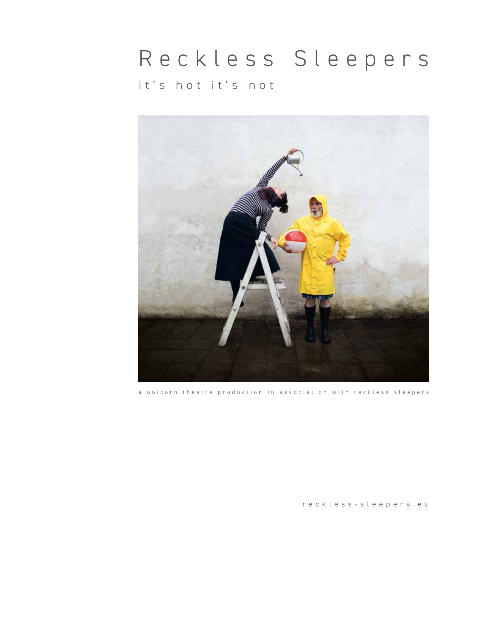# Reckless Sleepers it's hot it's not



a unicorn theatre production in association with reckless sleepers

[reckless-sleepers.eu](http://reckless-sleepers.eu)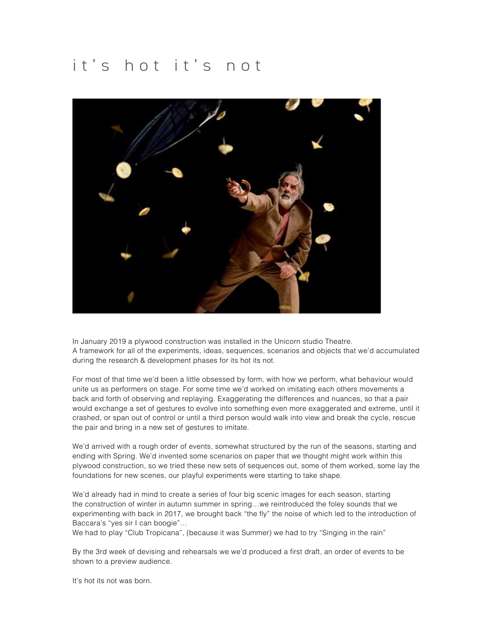# it's hot it's not



In January 2019 a plywood construction was installed in the Unicorn studio Theatre. A framework for all of the experiments, ideas, sequences, scenarios and objects that we'd accumulated during the research & development phases for its hot its not.

For most of that time we'd been a little obsessed by form, with how we perform, what behaviour would unite us as performers on stage. For some time we'd worked on imitating each others movements a back and forth of observing and replaying. Exaggerating the differences and nuances, so that a pair would exchange a set of gestures to evolve into something even more exaggerated and extreme, until it crashed, or span out of control or until a third person would walk into view and break the cycle, rescue the pair and bring in a new set of gestures to imitate.

We'd arrived with a rough order of events, somewhat structured by the run of the seasons, starting and ending with Spring. We'd invented some scenarios on paper that we thought might work within this plywood construction, so we tried these new sets of sequences out, some of them worked, some lay the foundations for new scenes, our playful experiments were starting to take shape.

We'd already had in mind to create a series of four big scenic images for each season, starting the construction of winter in autumn summer in spring…we reintroduced the foley sounds that we experimenting with back in 2017, we brought back "the fly" the noise of which led to the introduction of Baccara's "yes sir I can boogie"…

We had to play "Club Tropicana", (because it was Summer) we had to try "Singing in the rain"

By the 3rd week of devising and rehearsals we we'd produced a first draft, an order of events to be shown to a preview audience.

It's hot its not was born.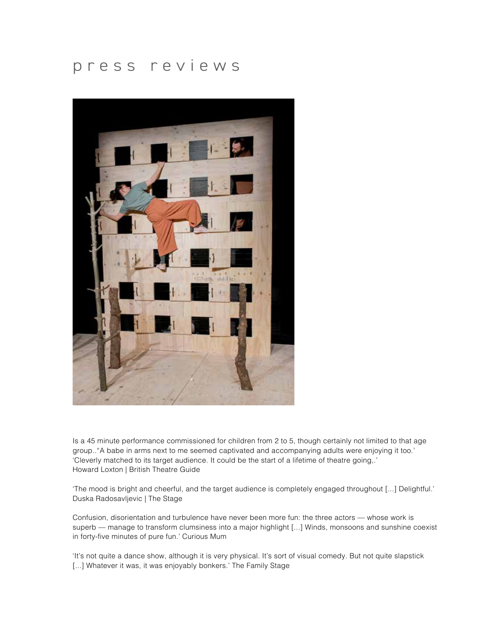#### [press reviews](http://press reviews)



[Is a 45 minute performance commissioned for children from 2 to 5, though certainly not limited to that age](https://docs.wixstatic.com/ugd/ffe471_4ba896213ebc4d75aa0d565760f0bbd9.pdf)  [group.."A babe in arms next to me seemed captivated and accompanying adults were enjoying it too.'](https://docs.wixstatic.com/ugd/ffe471_4ba896213ebc4d75aa0d565760f0bbd9.pdf)  ['Cleverly matched to its target audience. It could be the start of a lifetime of theatre going,.'](https://docs.wixstatic.com/ugd/ffe471_4ba896213ebc4d75aa0d565760f0bbd9.pdf)  [Howard Loxton | British Theatre Guide](https://docs.wixstatic.com/ugd/ffe471_4ba896213ebc4d75aa0d565760f0bbd9.pdf) 

['The mood is bright and cheerful, and the target audience is completely engaged throughout \[...\] Delightful.'](https://docs.wixstatic.com/ugd/ffe471_e1adcb8dea4b4f34b25bd20685687f68.pdf)  [Duska Radosavljevic | The Stage](https://docs.wixstatic.com/ugd/ffe471_e1adcb8dea4b4f34b25bd20685687f68.pdf)

[Confusion, disorientation and turbulence have never been more fun: the three actors — whose work is](https://docs.wixstatic.com/ugd/ffe471_cf7212bb089846b1afdd3531982f7a38.pdf)  superb — manage to transform clumsiness into a major highlight [...] Winds, monsoons and sunshine coexist [in forty-five minutes of pure fun.' Curious Mum](https://docs.wixstatic.com/ugd/ffe471_cf7212bb089846b1afdd3531982f7a38.pdf)

['It's not quite a dance show, although it is very physical. It's sort of visual comedy. But not quite slapstick](https://docs.wixstatic.com/ugd/ffe471_c6a3a601c70c4c5b872792a0484ba112.pdf)  [\[...\] Whatever it was, it was enjoyably bonkers.' The Family Stage](https://docs.wixstatic.com/ugd/ffe471_c6a3a601c70c4c5b872792a0484ba112.pdf)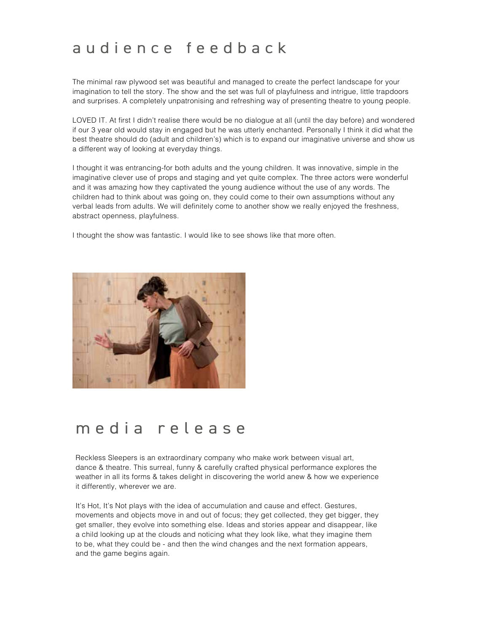### [audience feedback](https://docs.wixstatic.com/ugd/ffe471_6f9abb2898964e0d9b0e31540530f4f2.pdf)

The minimal raw plywood set was beautiful and managed to create the perfect landscape for your imagination to tell the story. The show and the set was full of playfulness and intrigue, little trapdoors and surprises. A completely unpatronising and refreshing way of presenting theatre to young people.

LOVED IT. At first I didn't realise there would be no dialogue at all (until the day before) and wondered if our 3 year old would stay in engaged but he was utterly enchanted. Personally I think it did what the best theatre should do (adult and children's) which is to expand our imaginative universe and show us a different way of looking at everyday things.

I thought it was entrancing-for both adults and the young children. It was innovative, simple in the imaginative clever use of props and staging and yet quite complex. The three actors were wonderful and it was amazing how they captivated the young audience without the use of any words. The children had to think about was going on, they could come to their own assumptions without any verbal leads from adults. We will definitely come to another show we really enjoyed the freshness, abstract openness, playfulness.

I thought the show was fantastic. I would like to see shows like that more often.



## media release

Reckless Sleepers is an extraordinary company who make work between visual art, dance & theatre. This surreal, funny & carefully crafted physical performance explores the weather in all its forms & takes delight in discovering the world anew & how we experience it differently, wherever we are.

It's Hot, It's Not plays with the idea of accumulation and cause and effect. Gestures, movements and objects move in and out of focus; they get collected, they get bigger, they get smaller, they evolve into something else. Ideas and stories appear and disappear, like a child looking up at the clouds and noticing what they look like, what they imagine them to be, what they could be - and then the wind changes and the next formation appears, and the game begins again.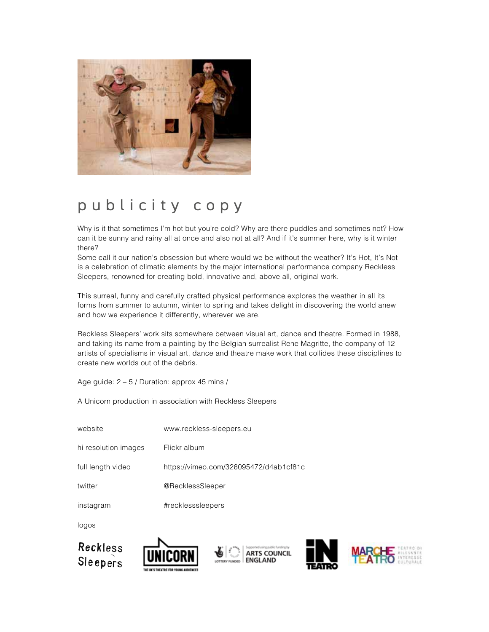

# publicity copy

Why is it that sometimes I'm hot but you're cold? Why are there puddles and sometimes not? How can it be sunny and rainy all at once and also not at all? And if it's summer here, why is it winter there?

Some call it our nation's obsession but where would we be without the weather? It's Hot, It's Not is a celebration of climatic elements by the major international performance company Reckless Sleepers, renowned for creating bold, innovative and, above all, original work.

This surreal, funny and carefully crafted physical performance explores the weather in all its forms from summer to autumn, winter to spring and takes delight in discovering the world anew and how we experience it differently, wherever we are.

Reckless Sleepers' work sits somewhere between visual art, dance and theatre. Formed in 1988, and taking its name from a painting by the Belgian surrealist Rene Magritte, the company of 12 artists of specialisms in visual art, dance and theatre make work that collides these disciplines to create new worlds out of the debris.

Age guide: 2 – 5 / Duration: approx 45 mins /

A Unicorn production in association with Reckless Sleepers

| website              | www.reckless-sleepers.eu               |
|----------------------|----------------------------------------|
| hi resolution images | Flickr album                           |
| full length video    | https://vimeo.com/326095472/d4ab1cf81c |
| twitter              | @RecklessSleeper                       |
| instagram            | #recklesssleepers                      |

logos